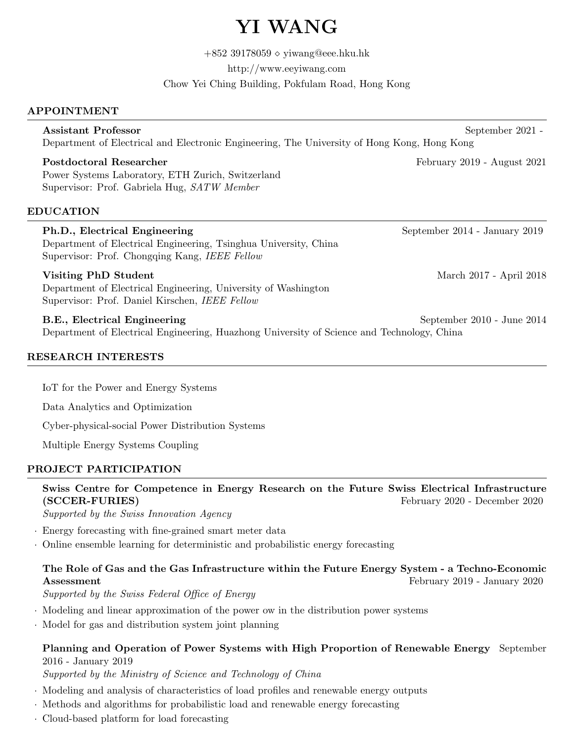# YI WANG

 $+85239178059\diamond$  yiwang@eee.hku.hk

http://www.eeyiwang.com

Chow Yei Ching Building, Pokfulam Road, Hong Kong

# APPOINTMENT

# Assistant Professor September 2021 -Department of Electrical and Electronic Engineering, The University of Hong Kong, Hong Kong

Power Systems Laboratory, ETH Zurich, Switzerland Supervisor: Prof. Gabriela Hug, SATW Member

# EDUCATION

# Ph.D., Electrical Engineering September 2014 - January 2019 Department of Electrical Engineering, Tsinghua University, China Supervisor: Prof. Chongqing Kang, IEEE Fellow Visiting PhD Student March 2017 - April 2018 Department of Electrical Engineering, University of Washington Supervisor: Prof. Daniel Kirschen, IEEE Fellow B.E., Electrical Engineering September 2010 - June 2014 Department of Electrical Engineering, Huazhong University of Science and Technology, China

# RESEARCH INTERESTS

IoT for the Power and Energy Systems

Data Analytics and Optimization

Cyber-physical-social Power Distribution Systems

Multiple Energy Systems Coupling

# PROJECT PARTICIPATION

Swiss Centre for Competence in Energy Research on the Future Swiss Electrical Infrastructure (SCCER-FURIES) February 2020 - December 2020

Supported by the Swiss Innovation Agency

- · Energy forecasting with fine-grained smart meter data
- · Online ensemble learning for deterministic and probabilistic energy forecasting

# The Role of Gas and the Gas Infrastructure within the Future Energy System - a Techno-Economic Assessment February 2019 - January 2020

Supported by the Swiss Federal Office of Energy

- · Modeling and linear approximation of the power ow in the distribution power systems
- · Model for gas and distribution system joint planning

# Planning and Operation of Power Systems with High Proportion of Renewable Energy September 2016 - January 2019

Supported by the Ministry of Science and Technology of China

- · Modeling and analysis of characteristics of load profiles and renewable energy outputs
- · Methods and algorithms for probabilistic load and renewable energy forecasting
- · Cloud-based platform for load forecasting

Postdoctoral Researcher February 2019 - August 2021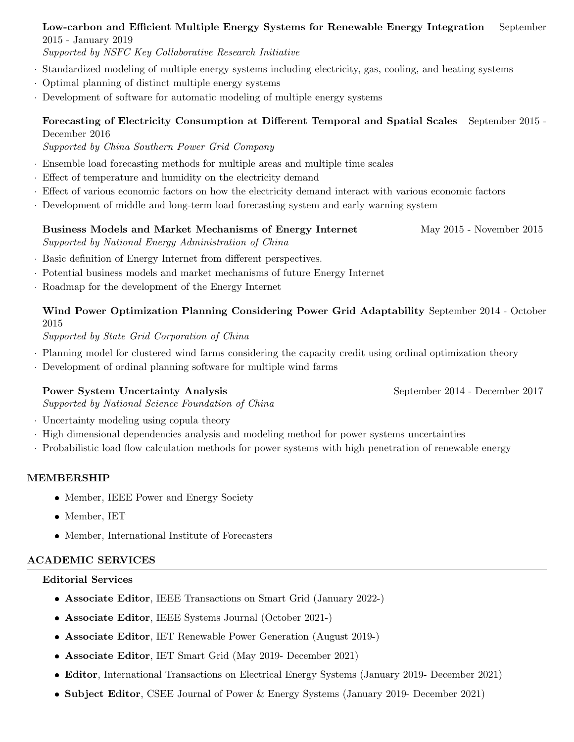#### Low-carbon and Efficient Multiple Energy Systems for Renewable Energy Integration September 2015 - January 2019

Supported by NSFC Key Collaborative Research Initiative

- · Standardized modeling of multiple energy systems including electricity, gas, cooling, and heating systems
- · Optimal planning of distinct multiple energy systems
- · Development of software for automatic modeling of multiple energy systems

# Forecasting of Electricity Consumption at Different Temporal and Spatial Scales September 2015 - December 2016

Supported by China Southern Power Grid Company

- · Ensemble load forecasting methods for multiple areas and multiple time scales
- · Effect of temperature and humidity on the electricity demand
- · Effect of various economic factors on how the electricity demand interact with various economic factors
- · Development of middle and long-term load forecasting system and early warning system

#### Business Models and Market Mechanisms of Energy Internet May 2015 - November 2015 Supported by National Energy Administration of China

- · Basic definition of Energy Internet from different perspectives.
- · Potential business models and market mechanisms of future Energy Internet
- · Roadmap for the development of the Energy Internet

# Wind Power Optimization Planning Considering Power Grid Adaptability September 2014 - October 2015

Supported by State Grid Corporation of China

- · Planning model for clustered wind farms considering the capacity credit using ordinal optimization theory
- · Development of ordinal planning software for multiple wind farms

# Power System Uncertainty Analysis September 2014 - December 2017

Supported by National Science Foundation of China

- · Uncertainty modeling using copula theory
- · High dimensional dependencies analysis and modeling method for power systems uncertainties
- · Probabilistic load flow calculation methods for power systems with high penetration of renewable energy

# MEMBERSHIP

- Member, IEEE Power and Energy Society
- Member, IET
- Member, International Institute of Forecasters

# ACADEMIC SERVICES

#### Editorial Services

- Associate Editor, IEEE Transactions on Smart Grid (January 2022-)
- Associate Editor, IEEE Systems Journal (October 2021-)
- Associate Editor, IET Renewable Power Generation (August 2019-)
- Associate Editor, IET Smart Grid (May 2019- December 2021)
- Editor, International Transactions on Electrical Energy Systems (January 2019- December 2021)
- Subject Editor, CSEE Journal of Power & Energy Systems (January 2019- December 2021)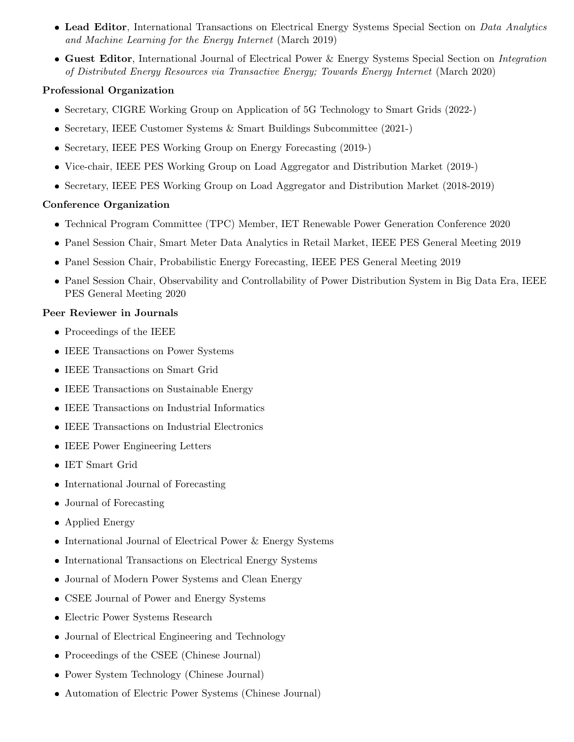- Lead Editor, International Transactions on Electrical Energy Systems Special Section on *Data Analytics* and Machine Learning for the Energy Internet (March 2019)
- **Guest Editor**, International Journal of Electrical Power & Energy Systems Special Section on *Integration* of Distributed Energy Resources via Transactive Energy; Towards Energy Internet (March 2020)

# Professional Organization

- Secretary, CIGRE Working Group on Application of 5G Technology to Smart Grids (2022-)
- Secretary, IEEE Customer Systems & Smart Buildings Subcommittee (2021-)
- Secretary, IEEE PES Working Group on Energy Forecasting (2019-)
- Vice-chair, IEEE PES Working Group on Load Aggregator and Distribution Market (2019-)
- Secretary, IEEE PES Working Group on Load Aggregator and Distribution Market (2018-2019)

# Conference Organization

- Technical Program Committee (TPC) Member, IET Renewable Power Generation Conference 2020
- Panel Session Chair, Smart Meter Data Analytics in Retail Market, IEEE PES General Meeting 2019
- Panel Session Chair, Probabilistic Energy Forecasting, IEEE PES General Meeting 2019
- Panel Session Chair, Observability and Controllability of Power Distribution System in Big Data Era, IEEE PES General Meeting 2020

# Peer Reviewer in Journals

- Proceedings of the IEEE
- IEEE Transactions on Power Systems
- IEEE Transactions on Smart Grid
- IEEE Transactions on Sustainable Energy
- IEEE Transactions on Industrial Informatics
- IEEE Transactions on Industrial Electronics
- IEEE Power Engineering Letters
- IET Smart Grid
- International Journal of Forecasting
- Journal of Forecasting
- Applied Energy
- International Journal of Electrical Power & Energy Systems
- International Transactions on Electrical Energy Systems
- Journal of Modern Power Systems and Clean Energy
- CSEE Journal of Power and Energy Systems
- Electric Power Systems Research
- Journal of Electrical Engineering and Technology
- Proceedings of the CSEE (Chinese Journal)
- Power System Technology (Chinese Journal)
- Automation of Electric Power Systems (Chinese Journal)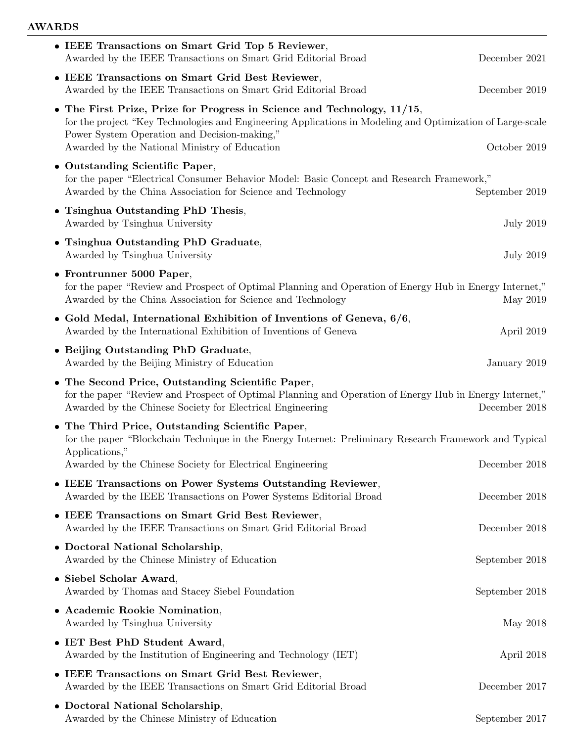# AWARDS

| • IEEE Transactions on Smart Grid Top 5 Reviewer,<br>Awarded by the IEEE Transactions on Smart Grid Editorial Broad                                                                                                                                                                    | December 2021    |
|----------------------------------------------------------------------------------------------------------------------------------------------------------------------------------------------------------------------------------------------------------------------------------------|------------------|
| • IEEE Transactions on Smart Grid Best Reviewer,<br>Awarded by the IEEE Transactions on Smart Grid Editorial Broad                                                                                                                                                                     | December 2019    |
| • The First Prize, Prize for Progress in Science and Technology, 11/15,<br>for the project "Key Technologies and Engineering Applications in Modeling and Optimization of Large-scale<br>Power System Operation and Decision-making,"<br>Awarded by the National Ministry of Education | October 2019     |
| • Outstanding Scientific Paper,<br>for the paper "Electrical Consumer Behavior Model: Basic Concept and Research Framework,"<br>Awarded by the China Association for Science and Technology                                                                                            | September 2019   |
| • Tsinghua Outstanding PhD Thesis,<br>Awarded by Tsinghua University                                                                                                                                                                                                                   | <b>July 2019</b> |
| • Tsinghua Outstanding PhD Graduate,<br>Awarded by Tsinghua University                                                                                                                                                                                                                 | <b>July 2019</b> |
| • Frontrunner 5000 Paper,<br>for the paper "Review and Prospect of Optimal Planning and Operation of Energy Hub in Energy Internet,"<br>Awarded by the China Association for Science and Technology                                                                                    | May 2019         |
| • Gold Medal, International Exhibition of Inventions of Geneva, $6/6$ ,<br>Awarded by the International Exhibition of Inventions of Geneva                                                                                                                                             | April 2019       |
| • Beijing Outstanding PhD Graduate,<br>Awarded by the Beijing Ministry of Education                                                                                                                                                                                                    | January 2019     |
| • The Second Price, Outstanding Scientific Paper,<br>for the paper "Review and Prospect of Optimal Planning and Operation of Energy Hub in Energy Internet,"<br>Awarded by the Chinese Society for Electrical Engineering                                                              | December 2018    |
| • The Third Price, Outstanding Scientific Paper,<br>for the paper "Blockchain Technique in the Energy Internet: Preliminary Research Framework and Typical<br>Applications,"                                                                                                           |                  |
| Awarded by the Chinese Society for Electrical Engineering                                                                                                                                                                                                                              | December 2018    |
| • IEEE Transactions on Power Systems Outstanding Reviewer,<br>Awarded by the IEEE Transactions on Power Systems Editorial Broad                                                                                                                                                        | December 2018    |
| • IEEE Transactions on Smart Grid Best Reviewer,<br>Awarded by the IEEE Transactions on Smart Grid Editorial Broad                                                                                                                                                                     | December 2018    |
| • Doctoral National Scholarship,<br>Awarded by the Chinese Ministry of Education                                                                                                                                                                                                       | September 2018   |
| • Siebel Scholar Award,<br>Awarded by Thomas and Stacey Siebel Foundation                                                                                                                                                                                                              | September 2018   |
| • Academic Rookie Nomination,<br>Awarded by Tsinghua University                                                                                                                                                                                                                        | May 2018         |
| • IET Best PhD Student Award,<br>Awarded by the Institution of Engineering and Technology (IET)                                                                                                                                                                                        | April 2018       |
| • IEEE Transactions on Smart Grid Best Reviewer,<br>Awarded by the IEEE Transactions on Smart Grid Editorial Broad                                                                                                                                                                     | December 2017    |
| • Doctoral National Scholarship,<br>Awarded by the Chinese Ministry of Education                                                                                                                                                                                                       | September 2017   |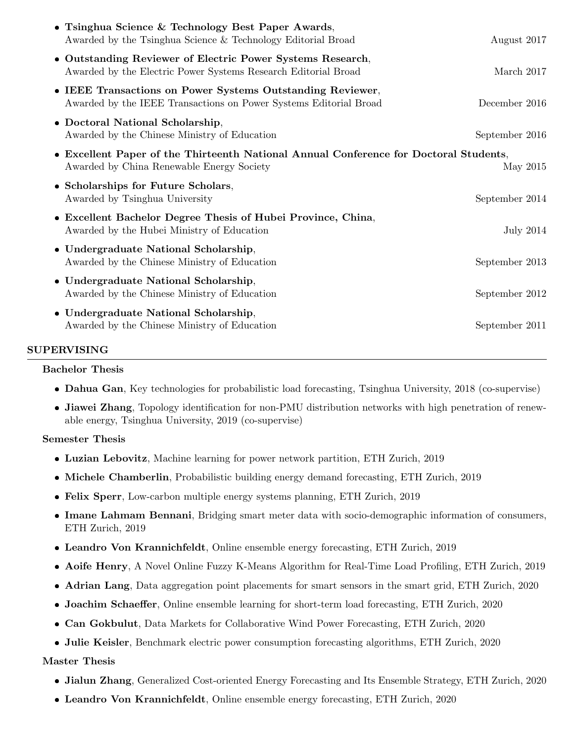| • Tsinghua Science & Technology Best Paper Awards,<br>Awarded by the Tsinghua Science & Technology Editorial Broad                 | August 2017    |
|------------------------------------------------------------------------------------------------------------------------------------|----------------|
| • Outstanding Reviewer of Electric Power Systems Research,<br>Awarded by the Electric Power Systems Research Editorial Broad       | March 2017     |
| • IEEE Transactions on Power Systems Outstanding Reviewer,<br>Awarded by the IEEE Transactions on Power Systems Editorial Broad    | December 2016  |
| • Doctoral National Scholarship,<br>Awarded by the Chinese Ministry of Education                                                   | September 2016 |
| • Excellent Paper of the Thirteenth National Annual Conference for Doctoral Students,<br>Awarded by China Renewable Energy Society | May 2015       |
| • Scholarships for Future Scholars,<br>Awarded by Tsinghua University                                                              | September 2014 |
| • Excellent Bachelor Degree Thesis of Hubei Province, China,<br>Awarded by the Hubei Ministry of Education                         | July 2014      |
| • Undergraduate National Scholarship,<br>Awarded by the Chinese Ministry of Education                                              | September 2013 |
| • Undergraduate National Scholarship,<br>Awarded by the Chinese Ministry of Education                                              | September 2012 |
| • Undergraduate National Scholarship,<br>Awarded by the Chinese Ministry of Education                                              | September 2011 |

#### SUPERVISING

#### Bachelor Thesis

- Dahua Gan, Key technologies for probabilistic load forecasting, Tsinghua University, 2018 (co-supervise)
- Jiawei Zhang, Topology identification for non-PMU distribution networks with high penetration of renewable energy, Tsinghua University, 2019 (co-supervise)

#### Semester Thesis

- Luzian Lebovitz, Machine learning for power network partition, ETH Zurich, 2019
- Michele Chamberlin, Probabilistic building energy demand forecasting, ETH Zurich, 2019
- Felix Sperr, Low-carbon multiple energy systems planning, ETH Zurich, 2019
- Imane Lahmam Bennani, Bridging smart meter data with socio-demographic information of consumers, ETH Zurich, 2019
- Leandro Von Krannichfeldt, Online ensemble energy forecasting, ETH Zurich, 2019
- Aoife Henry, A Novel Online Fuzzy K-Means Algorithm for Real-Time Load Profiling, ETH Zurich, 2019
- Adrian Lang, Data aggregation point placements for smart sensors in the smart grid, ETH Zurich, 2020
- Joachim Schaeffer, Online ensemble learning for short-term load forecasting, ETH Zurich, 2020
- Can Gokbulut, Data Markets for Collaborative Wind Power Forecasting, ETH Zurich, 2020
- Julie Keisler, Benchmark electric power consumption forecasting algorithms, ETH Zurich, 2020

#### Master Thesis

- Jialun Zhang, Generalized Cost-oriented Energy Forecasting and Its Ensemble Strategy, ETH Zurich, 2020
- Leandro Von Krannichfeldt, Online ensemble energy forecasting, ETH Zurich, 2020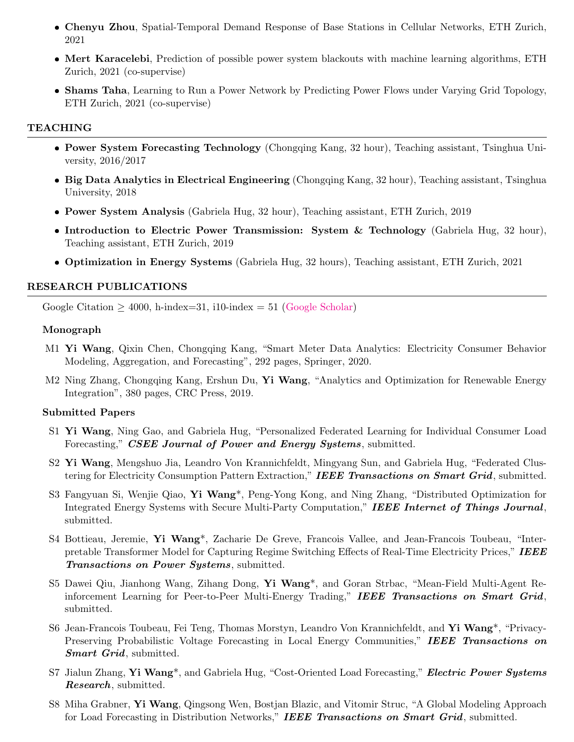- Chenyu Zhou, Spatial-Temporal Demand Response of Base Stations in Cellular Networks, ETH Zurich, 2021
- Mert Karacelebi, Prediction of possible power system blackouts with machine learning algorithms, ETH Zurich, 2021 (co-supervise)
- Shams Taha, Learning to Run a Power Network by Predicting Power Flows under Varying Grid Topology, ETH Zurich, 2021 (co-supervise)

#### TEACHING

- Power System Forecasting Technology (Chongqing Kang, 32 hour), Teaching assistant, Tsinghua University, 2016/2017
- Big Data Analytics in Electrical Engineering (Chongqing Kang, 32 hour), Teaching assistant, Tsinghua University, 2018
- Power System Analysis (Gabriela Hug, 32 hour), Teaching assistant, ETH Zurich, 2019
- Introduction to Electric Power Transmission: System & Technology (Gabriela Hug, 32 hour), Teaching assistant, ETH Zurich, 2019
- Optimization in Energy Systems (Gabriela Hug, 32 hours), Teaching assistant, ETH Zurich, 2021

#### RESEARCH PUBLICATIONS

Google Citation  $> 4000$ , h-index=31, i10-index = 51 [\(Google Scholar\)](https://scholar.google.com/citations?user=KYDSElAAAAAJ&hl=zh-CN)

#### Monograph

- M1 Yi Wang, Qixin Chen, Chongqing Kang, "Smart Meter Data Analytics: Electricity Consumer Behavior Modeling, Aggregation, and Forecasting", 292 pages, Springer, 2020.
- M2 Ning Zhang, Chongqing Kang, Ershun Du, Yi Wang, "Analytics and Optimization for Renewable Energy Integration", 380 pages, CRC Press, 2019.

#### Submitted Papers

- S1 Yi Wang, Ning Gao, and Gabriela Hug, "Personalized Federated Learning for Individual Consumer Load Forecasting," CSEE Journal of Power and Energy Systems, submitted.
- S2 Yi Wang, Mengshuo Jia, Leandro Von Krannichfeldt, Mingyang Sun, and Gabriela Hug, "Federated Clustering for Electricity Consumption Pattern Extraction," IEEE Transactions on Smart Grid, submitted.
- S3 Fangyuan Si, Wenjie Qiao, Yi Wang\*, Peng-Yong Kong, and Ning Zhang, "Distributed Optimization for Integrated Energy Systems with Secure Multi-Party Computation," IEEE Internet of Things Journal, submitted.
- S4 Bottieau, Jeremie, Yi Wang\*, Zacharie De Greve, Francois Vallee, and Jean-Francois Toubeau, "Interpretable Transformer Model for Capturing Regime Switching Effects of Real-Time Electricity Prices," IEEE Transactions on Power Systems, submitted.
- S5 Dawei Qiu, Jianhong Wang, Zihang Dong, Yi Wang\*, and Goran Strbac, "Mean-Field Multi-Agent Reinforcement Learning for Peer-to-Peer Multi-Energy Trading," IEEE Transactions on Smart Grid, submitted.
- S6 Jean-Francois Toubeau, Fei Teng, Thomas Morstyn, Leandro Von Krannichfeldt, and Yi Wang\*, "Privacy-Preserving Probabilistic Voltage Forecasting in Local Energy Communities," IEEE Transactions on Smart Grid, submitted.
- S7 Jialun Zhang, Yi Wang<sup>\*</sup>, and Gabriela Hug, "Cost-Oriented Load Forecasting," *Electric Power Systems* Research, submitted.
- S8 Miha Grabner, Yi Wang, Qingsong Wen, Bostjan Blazic, and Vitomir Struc, "A Global Modeling Approach for Load Forecasting in Distribution Networks," IEEE Transactions on Smart Grid, submitted.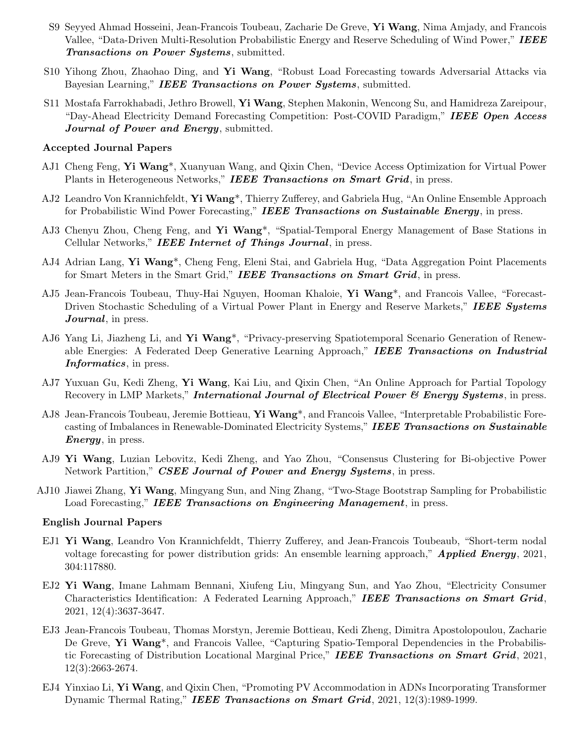- S9 Seyyed Ahmad Hosseini, Jean-Francois Toubeau, Zacharie De Greve, Yi Wang, Nima Amjady, and Francois Vallee, "Data-Driven Multi-Resolution Probabilistic Energy and Reserve Scheduling of Wind Power," IEEE Transactions on Power Systems, submitted.
- S10 Yihong Zhou, Zhaohao Ding, and Yi Wang, "Robust Load Forecasting towards Adversarial Attacks via Bayesian Learning," **IEEE Transactions on Power Systems**, submitted.
- S11 Mostafa Farrokhabadi, Jethro Browell, Yi Wang, Stephen Makonin, Wencong Su, and Hamidreza Zareipour, "Day-Ahead Electricity Demand Forecasting Competition: Post-COVID Paradigm," IEEE Open Access Journal of Power and Energy, submitted.

#### Accepted Journal Papers

- AJ1 Cheng Feng, Yi Wang\*, Xuanyuan Wang, and Qixin Chen, "Device Access Optimization for Virtual Power Plants in Heterogeneous Networks," IEEE Transactions on Smart Grid, in press.
- AJ2 Leandro Von Krannichfeldt, Yi Wang<sup>\*</sup>, Thierry Zufferey, and Gabriela Hug, "An Online Ensemble Approach for Probabilistic Wind Power Forecasting," IEEE Transactions on Sustainable Energy, in press.
- AJ3 Chenyu Zhou, Cheng Feng, and Yi Wang\*, "Spatial-Temporal Energy Management of Base Stations in Cellular Networks," IEEE Internet of Things Journal, in press.
- AJ4 Adrian Lang, Yi Wang\*, Cheng Feng, Eleni Stai, and Gabriela Hug, "Data Aggregation Point Placements for Smart Meters in the Smart Grid," IEEE Transactions on Smart Grid, in press.
- AJ5 Jean-Francois Toubeau, Thuy-Hai Nguyen, Hooman Khaloie, Yi Wang\*, and Francois Vallee, "Forecast-Driven Stochastic Scheduling of a Virtual Power Plant in Energy and Reserve Markets," IEEE Systems Journal, in press.
- AJ6 Yang Li, Jiazheng Li, and Yi Wang\*, "Privacy-preserving Spatiotemporal Scenario Generation of Renewable Energies: A Federated Deep Generative Learning Approach," IEEE Transactions on Industrial Informatics, in press.
- AJ7 Yuxuan Gu, Kedi Zheng, Yi Wang, Kai Liu, and Qixin Chen, "An Online Approach for Partial Topology Recovery in LMP Markets," **International Journal of Electrical Power & Energy Systems**, in press.
- AJ8 Jean-Francois Toubeau, Jeremie Bottieau, Yi Wang<sup>\*</sup>, and Francois Vallee, "Interpretable Probabilistic Forecasting of Imbalances in Renewable-Dominated Electricity Systems," IEEE Transactions on Sustainable **Energy**, in press.
- AJ9 Yi Wang, Luzian Lebovitz, Kedi Zheng, and Yao Zhou, "Consensus Clustering for Bi-objective Power Network Partition," CSEE Journal of Power and Energy Systems, in press.
- AJ10 Jiawei Zhang, Yi Wang, Mingyang Sun, and Ning Zhang, "Two-Stage Bootstrap Sampling for Probabilistic Load Forecasting," **IEEE Transactions on Engineering Management**, in press.

#### English Journal Papers

- EJ1 Yi Wang, Leandro Von Krannichfeldt, Thierry Zufferey, and Jean-Francois Toubeaub, "Short-term nodal voltage forecasting for power distribution grids: An ensemble learning approach," **Applied Energy**, 2021, 304:117880.
- EJ2 Yi Wang, Imane Lahmam Bennani, Xiufeng Liu, Mingyang Sun, and Yao Zhou, "Electricity Consumer Characteristics Identification: A Federated Learning Approach," IEEE Transactions on Smart Grid, 2021, 12(4):3637-3647.
- EJ3 Jean-Francois Toubeau, Thomas Morstyn, Jeremie Bottieau, Kedi Zheng, Dimitra Apostolopoulou, Zacharie De Greve, Yi Wang<sup>\*</sup>, and Francois Vallee, "Capturing Spatio-Temporal Dependencies in the Probabilistic Forecasting of Distribution Locational Marginal Price," IEEE Transactions on Smart Grid, 2021, 12(3):2663-2674.
- EJ4 Yinxiao Li, Yi Wang, and Qixin Chen, "Promoting PV Accommodation in ADNs Incorporating Transformer Dynamic Thermal Rating," **IEEE Transactions on Smart Grid**, 2021, 12(3):1989-1999.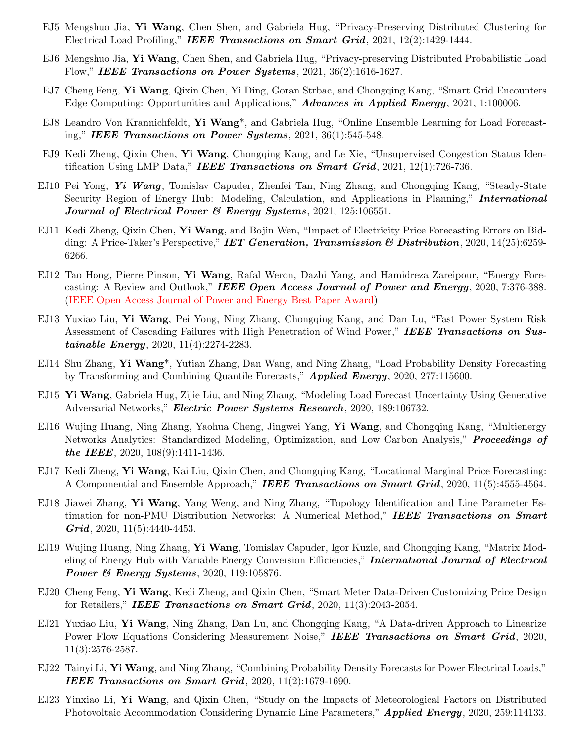- EJ5 Mengshuo Jia, Yi Wang, Chen Shen, and Gabriela Hug, "Privacy-Preserving Distributed Clustering for Electrical Load Profiling," IEEE Transactions on Smart Grid,  $2021$ ,  $12(2):1429-1444$ .
- EJ6 Mengshuo Jia, Yi Wang, Chen Shen, and Gabriela Hug, "Privacy-preserving Distributed Probabilistic Load Flow," IEEE Transactions on Power Systems, 2021, 36(2):1616-1627.
- EJ7 Cheng Feng, Yi Wang, Qixin Chen, Yi Ding, Goran Strbac, and Chongqing Kang, "Smart Grid Encounters" Edge Computing: Opportunities and Applications," **Advances in Applied Energy**, 2021, 1:100006.
- EJ8 Leandro Von Krannichfeldt, Yi Wang\*, and Gabriela Hug, "Online Ensemble Learning for Load Forecasting," IEEE Transactions on Power Systems,  $2021, 36(1):545-548$ .
- EJ9 Kedi Zheng, Qixin Chen, Yi Wang, Chongqing Kang, and Le Xie, "Unsupervised Congestion Status Identification Using LMP Data," IEEE Transactions on Smart Grid,  $2021$ ,  $12(1)$ :726-736.
- EJ10 Pei Yong, Yi Wang, Tomislav Capuder, Zhenfei Tan, Ning Zhang, and Chongqing Kang, "Steady-State Security Region of Energy Hub: Modeling, Calculation, and Applications in Planning," **International** Journal of Electrical Power  $\mathcal B$  Energy Systems, 2021, 125:106551.
- EJ11 Kedi Zheng, Qixin Chen, Yi Wang, and Bojin Wen, "Impact of Electricity Price Forecasting Errors on Bidding: A Price-Taker's Perspective," **IET Generation, Transmission & Distribution**, 2020, 14(25):6259-6266.
- EJ12 Tao Hong, Pierre Pinson, Yi Wang, Rafal Weron, Dazhi Yang, and Hamidreza Zareipour, "Energy Forecasting: A Review and Outlook," IEEE Open Access Journal of Power and Energy, 2020, 7:376-388. (IEEE Open Access Journal of Power and Energy Best Paper Award)
- EJ13 Yuxiao Liu, Yi Wang, Pei Yong, Ning Zhang, Chongqing Kang, and Dan Lu, "Fast Power System Risk Assessment of Cascading Failures with High Penetration of Wind Power," IEEE Transactions on Sustainable Energy, 2020, 11(4):2274-2283.
- EJ14 Shu Zhang, Yi Wang\*, Yutian Zhang, Dan Wang, and Ning Zhang, "Load Probability Density Forecasting by Transforming and Combining Quantile Forecasts," **Applied Energy**, 2020, 277:115600.
- EJ15 Yi Wang, Gabriela Hug, Zijie Liu, and Ning Zhang, "Modeling Load Forecast Uncertainty Using Generative Adversarial Networks," Electric Power Systems Research, 2020, 189:106732.
- EJ16 Wujing Huang, Ning Zhang, Yaohua Cheng, Jingwei Yang, Yi Wang, and Chongqing Kang, "Multienergy Networks Analytics: Standardized Modeling, Optimization, and Low Carbon Analysis," **Proceedings of** the IEEE, 2020, 108(9):1411-1436.
- EJ17 Kedi Zheng, Yi Wang, Kai Liu, Qixin Chen, and Chongqing Kang, "Locational Marginal Price Forecasting: A Componential and Ensemble Approach," IEEE Transactions on Smart Grid, 2020, 11(5):4555-4564.
- EJ18 Jiawei Zhang, Yi Wang, Yang Weng, and Ning Zhang, "Topology Identification and Line Parameter Estimation for non-PMU Distribution Networks: A Numerical Method," IEEE Transactions on Smart  $Grid, 2020, 11(5):4440-4453.$
- EJ19 Wujing Huang, Ning Zhang, Yi Wang, Tomislav Capuder, Igor Kuzle, and Chongqing Kang, "Matrix Modeling of Energy Hub with Variable Energy Conversion Efficiencies," International Journal of Electrical **Power & Energy Systems**, 2020, 119:105876.
- EJ20 Cheng Feng, Yi Wang, Kedi Zheng, and Qixin Chen, "Smart Meter Data-Driven Customizing Price Design for Retailers," IEEE Transactions on Smart Grid,  $2020, 11(3):2043-2054$ .
- EJ21 Yuxiao Liu, Yi Wang, Ning Zhang, Dan Lu, and Chongqing Kang, "A Data-driven Approach to Linearize Power Flow Equations Considering Measurement Noise," IEEE Transactions on Smart Grid, 2020, 11(3):2576-2587.
- EJ22 Tainyi Li, Yi Wang, and Ning Zhang, "Combining Probability Density Forecasts for Power Electrical Loads," IEEE Transactions on Smart Grid, 2020, 11(2):1679-1690.
- EJ23 Yinxiao Li, Yi Wang, and Qixin Chen, "Study on the Impacts of Meteorological Factors on Distributed Photovoltaic Accommodation Considering Dynamic Line Parameters," **Applied Energy**, 2020, 259:114133.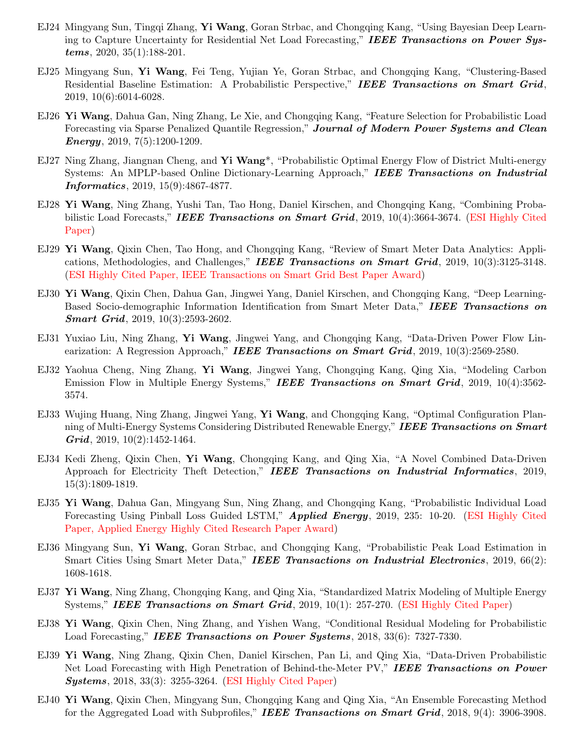- EJ24 Mingyang Sun, Tingqi Zhang, Yi Wang, Goran Strbac, and Chongqing Kang, "Using Bayesian Deep Learning to Capture Uncertainty for Residential Net Load Forecasting," IEEE Transactions on Power Systems, 2020, 35(1):188-201.
- EJ25 Mingyang Sun, Yi Wang, Fei Teng, Yujian Ye, Goran Strbac, and Chongqing Kang, "Clustering-Based Residential Baseline Estimation: A Probabilistic Perspective," IEEE Transactions on Smart Grid, 2019, 10(6):6014-6028.
- EJ26 Yi Wang, Dahua Gan, Ning Zhang, Le Xie, and Chongqing Kang, "Feature Selection for Probabilistic Load Forecasting via Sparse Penalized Quantile Regression," Journal of Modern Power Systems and Clean *Energy*, 2019, 7(5):1200-1209.
- EJ27 Ning Zhang, Jiangnan Cheng, and Yi Wang<sup>\*</sup>, "Probabilistic Optimal Energy Flow of District Multi-energy Systems: An MPLP-based Online Dictionary-Learning Approach," IEEE Transactions on Industrial Informatics, 2019, 15(9):4867-4877.
- EJ28 Yi Wang, Ning Zhang, Yushi Tan, Tao Hong, Daniel Kirschen, and Chongqing Kang, "Combining Probabilistic Load Forecasts," **IEEE Transactions on Smart Grid**, 2019,  $10(4)$ :3664-3674. (ESI Highly Cited Paper)
- EJ29 Yi Wang, Qixin Chen, Tao Hong, and Chongqing Kang, "Review of Smart Meter Data Analytics: Applications, Methodologies, and Challenges," IEEE Transactions on Smart Grid,  $2019, 10(3):3125-3148$ . (ESI Highly Cited Paper, IEEE Transactions on Smart Grid Best Paper Award)
- EJ30 Yi Wang, Qixin Chen, Dahua Gan, Jingwei Yang, Daniel Kirschen, and Chongqing Kang, "Deep Learning-Based Socio-demographic Information Identification from Smart Meter Data," IEEE Transactions on Smart Grid, 2019, 10(3):2593-2602.
- EJ31 Yuxiao Liu, Ning Zhang, Yi Wang, Jingwei Yang, and Chongqing Kang, "Data-Driven Power Flow Linearization: A Regression Approach," IEEE Transactions on Smart Grid, 2019, 10(3):2569-2580.
- EJ32 Yaohua Cheng, Ning Zhang, Yi Wang, Jingwei Yang, Chongqing Kang, Qing Xia, "Modeling Carbon Emission Flow in Multiple Energy Systems," IEEE Transactions on Smart Grid, 2019, 10(4):3562-3574.
- EJ33 Wujing Huang, Ning Zhang, Jingwei Yang, Yi Wang, and Chongqing Kang, "Optimal Configuration Planning of Multi-Energy Systems Considering Distributed Renewable Energy," IEEE Transactions on Smart  $Grid, 2019, 10(2):1452-1464.$
- EJ34 Kedi Zheng, Qixin Chen, Yi Wang, Chongqing Kang, and Qing Xia, "A Novel Combined Data-Driven Approach for Electricity Theft Detection," IEEE Transactions on Industrial Informatics, 2019, 15(3):1809-1819.
- EJ35 Yi Wang, Dahua Gan, Mingyang Sun, Ning Zhang, and Chongqing Kang, "Probabilistic Individual Load Forecasting Using Pinball Loss Guided LSTM," **Applied Energy**, 2019, 235: 10-20. (ESI Highly Cited Paper, Applied Energy Highly Cited Research Paper Award)
- EJ36 Mingyang Sun, Yi Wang, Goran Strbac, and Chongqing Kang, "Probabilistic Peak Load Estimation in Smart Cities Using Smart Meter Data," IEEE Transactions on Industrial Electronics, 2019, 66(2): 1608-1618.
- EJ37 Yi Wang, Ning Zhang, Chongqing Kang, and Qing Xia, "Standardized Matrix Modeling of Multiple Energy Systems," IEEE Transactions on Smart Grid, 2019, 10(1): 257-270. (ESI Highly Cited Paper)
- EJ38 Yi Wang, Qixin Chen, Ning Zhang, and Yishen Wang, "Conditional Residual Modeling for Probabilistic Load Forecasting," **IEEE Transactions on Power Systems**, 2018, 33(6): 7327-7330.
- EJ39 Yi Wang, Ning Zhang, Qixin Chen, Daniel Kirschen, Pan Li, and Qing Xia, "Data-Driven Probabilistic Net Load Forecasting with High Penetration of Behind-the-Meter PV," IEEE Transactions on Power **Systems**, 2018, 33(3): 3255-3264. (**ESI Highly Cited Paper**)
- EJ40 Yi Wang, Qixin Chen, Mingyang Sun, Chongqing Kang and Qing Xia, "An Ensemble Forecasting Method for the Aggregated Load with Subprofiles," **IEEE Transactions on Smart Grid**, 2018, 9(4): 3906-3908.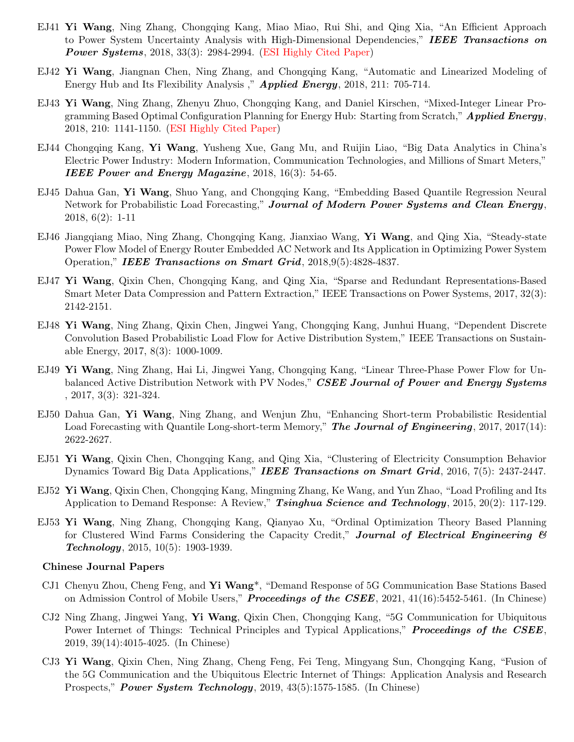- EJ41 Yi Wang, Ning Zhang, Chongqing Kang, Miao Miao, Rui Shi, and Qing Xia, "An Efficient Approach to Power System Uncertainty Analysis with High-Dimensional Dependencies," IEEE Transactions on **Power Systems**, 2018, 33(3): 2984-2994. (ESI Highly Cited Paper)
- EJ42 Yi Wang, Jiangnan Chen, Ning Zhang, and Chongqing Kang, "Automatic and Linearized Modeling of Energy Hub and Its Flexibility Analysis," **Applied Energy**, 2018, 211: 705-714.
- EJ43 Yi Wang, Ning Zhang, Zhenyu Zhuo, Chongqing Kang, and Daniel Kirschen, "Mixed-Integer Linear Programming Based Optimal Configuration Planning for Energy Hub: Starting from Scratch,"  $Applied Energy$ , 2018, 210: 1141-1150. (ESI Highly Cited Paper)
- EJ44 Chongqing Kang, Yi Wang, Yusheng Xue, Gang Mu, and Ruijin Liao, "Big Data Analytics in China's Electric Power Industry: Modern Information, Communication Technologies, and Millions of Smart Meters," IEEE Power and Energy Magazine,  $2018, 16(3)$ : 54-65.
- EJ45 Dahua Gan, Yi Wang, Shuo Yang, and Chongqing Kang, "Embedding Based Quantile Regression Neural" Network for Probabilistic Load Forecasting," Journal of Modern Power Systems and Clean Energy, 2018, 6(2): 1-11
- EJ46 Jiangqiang Miao, Ning Zhang, Chongqing Kang, Jianxiao Wang, Yi Wang, and Qing Xia, "Steady-state Power Flow Model of Energy Router Embedded AC Network and Its Application in Optimizing Power System Operation," IEEE Transactions on Smart Grid, 2018,9(5):4828-4837.
- EJ47 Yi Wang, Qixin Chen, Chongqing Kang, and Qing Xia, "Sparse and Redundant Representations-Based Smart Meter Data Compression and Pattern Extraction," IEEE Transactions on Power Systems, 2017, 32(3): 2142-2151.
- EJ48 Yi Wang, Ning Zhang, Qixin Chen, Jingwei Yang, Chongqing Kang, Junhui Huang, "Dependent Discrete Convolution Based Probabilistic Load Flow for Active Distribution System," IEEE Transactions on Sustainable Energy, 2017, 8(3): 1000-1009.
- EJ49 Yi Wang, Ning Zhang, Hai Li, Jingwei Yang, Chongqing Kang, "Linear Three-Phase Power Flow for Unbalanced Active Distribution Network with PV Nodes," CSEE Journal of Power and Energy Systems , 2017, 3(3): 321-324.
- EJ50 Dahua Gan, Yi Wang, Ning Zhang, and Wenjun Zhu, "Enhancing Short-term Probabilistic Residential Load Forecasting with Quantile Long-short-term Memory," The Journal of Engineering, 2017, 2017(14): 2622-2627.
- EJ51 Yi Wang, Qixin Chen, Chongqing Kang, and Qing Xia, "Clustering of Electricity Consumption Behavior Dynamics Toward Big Data Applications," **IEEE Transactions on Smart Grid**, 2016, 7(5): 2437-2447.
- EJ52 Yi Wang, Qixin Chen, Chongqing Kang, Mingming Zhang, Ke Wang, and Yun Zhao, "Load Profiling and Its Application to Demand Response: A Review," Tsinghua Science and Technology, 2015, 20(2): 117-129.
- EJ53 Yi Wang, Ning Zhang, Chongqing Kang, Qianyao Xu, "Ordinal Optimization Theory Based Planning for Clustered Wind Farms Considering the Capacity Credit," Journal of Electrical Engineering & Technology, 2015, 10(5): 1903-1939.

#### Chinese Journal Papers

- CJ1 Chenyu Zhou, Cheng Feng, and **Yi Wang**<sup>\*</sup>, "Demand Response of 5G Communication Base Stations Based on Admission Control of Mobile Users," **Proceedings of the CSEE**,  $2021$ ,  $41(16)$ :5452-5461. (In Chinese)
- CJ2 Ning Zhang, Jingwei Yang, Yi Wang, Qixin Chen, Chongqing Kang, "5G Communication for Ubiquitous Power Internet of Things: Technical Principles and Typical Applications," **Proceedings of the CSEE**, 2019, 39(14):4015-4025. (In Chinese)
- CJ3 Yi Wang, Qixin Chen, Ning Zhang, Cheng Feng, Fei Teng, Mingyang Sun, Chongqing Kang, "Fusion of the 5G Communication and the Ubiquitous Electric Internet of Things: Application Analysis and Research Prospects," **Power System Technology**, 2019,  $43(5):1575-1585$ . (In Chinese)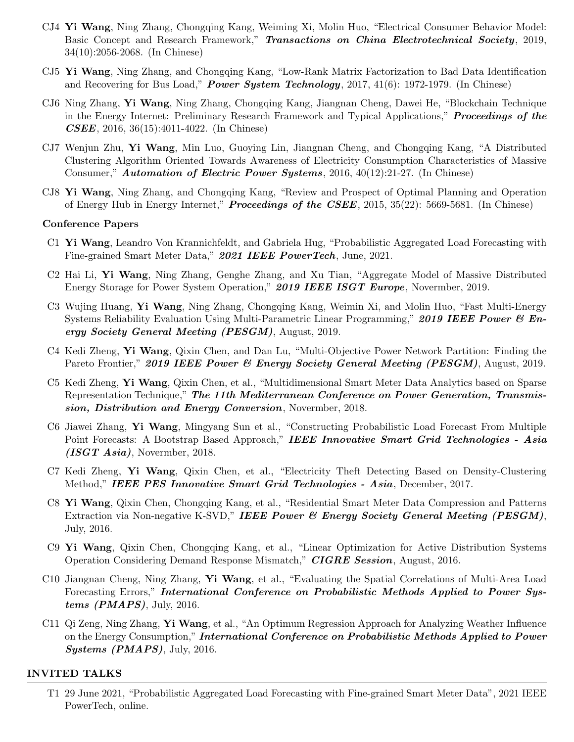- CJ4 Yi Wang, Ning Zhang, Chongqing Kang, Weiming Xi, Molin Huo, "Electrical Consumer Behavior Model: Basic Concept and Research Framework," Transactions on China Electrotechnical Society, 2019, 34(10):2056-2068. (In Chinese)
- CJ5 Yi Wang, Ning Zhang, and Chongqing Kang, "Low-Rank Matrix Factorization to Bad Data Identification and Recovering for Bus Load," **Power System Technology**, 2017, 41(6): 1972-1979. (In Chinese)
- CJ6 Ning Zhang, Yi Wang, Ning Zhang, Chongqing Kang, Jiangnan Cheng, Dawei He, "Blockchain Technique in the Energy Internet: Preliminary Research Framework and Typical Applications," **Proceedings of the** CSEE, 2016, 36(15):4011-4022. (In Chinese)
- CJ7 Wenjun Zhu, Yi Wang, Min Luo, Guoying Lin, Jiangnan Cheng, and Chongqing Kang, "A Distributed Clustering Algorithm Oriented Towards Awareness of Electricity Consumption Characteristics of Massive Consumer," **Automation of Electric Power Systems**, 2016,  $40(12):21-27$ . (In Chinese)
- CJ8 Yi Wang, Ning Zhang, and Chongqing Kang, "Review and Prospect of Optimal Planning and Operation of Energy Hub in Energy Internet," **Proceedings of the CSEE**, 2015, 35(22): 5669-5681. (In Chinese)

#### Conference Papers

- C1 Yi Wang, Leandro Von Krannichfeldt, and Gabriela Hug, "Probabilistic Aggregated Load Forecasting with Fine-grained Smart Meter Data," 2021 IEEE PowerTech, June, 2021.
- C2 Hai Li, Yi Wang, Ning Zhang, Genghe Zhang, and Xu Tian, "Aggregate Model of Massive Distributed Energy Storage for Power System Operation," 2019 IEEE ISGT Europe, Novermber, 2019.
- C3 Wujing Huang, Yi Wang, Ning Zhang, Chongqing Kang, Weimin Xi, and Molin Huo, "Fast Multi-Energy Systems Reliability Evaluation Using Multi-Parametric Linear Programming," 2019 IEEE Power  $\mathcal{B}$  Energy Society General Meeting (PESGM), August, 2019.
- C4 Kedi Zheng, Yi Wang, Qixin Chen, and Dan Lu, "Multi-Objective Power Network Partition: Finding the Pareto Frontier," 2019 IEEE Power & Energy Society General Meeting (PESGM), August, 2019.
- C5 Kedi Zheng, Yi Wang, Qixin Chen, et al., "Multidimensional Smart Meter Data Analytics based on Sparse Representation Technique," The 11th Mediterranean Conference on Power Generation, Transmission, Distribution and Energy Conversion, Novermber, 2018.
- C6 Jiawei Zhang, Yi Wang, Mingyang Sun et al., "Constructing Probabilistic Load Forecast From Multiple Point Forecasts: A Bootstrap Based Approach," IEEE Innovative Smart Grid Technologies - Asia (ISGT Asia), Novermber, 2018.
- C7 Kedi Zheng, Yi Wang, Qixin Chen, et al., "Electricity Theft Detecting Based on Density-Clustering Method," IEEE PES Innovative Smart Grid Technologies - Asia, December, 2017.
- C8 Yi Wang, Qixin Chen, Chongqing Kang, et al., "Residential Smart Meter Data Compression and Patterns Extraction via Non-negative K-SVD," IEEE Power & Energy Society General Meeting (PESGM), July, 2016.
- C9 Yi Wang, Qixin Chen, Chongqing Kang, et al., "Linear Optimization for Active Distribution Systems Operation Considering Demand Response Mismatch," CIGRE Session, August, 2016.
- C10 Jiangnan Cheng, Ning Zhang, Yi Wang, et al., "Evaluating the Spatial Correlations of Multi-Area Load Forecasting Errors," International Conference on Probabilistic Methods Applied to Power Systems  $(PMAPS)$ , July, 2016.
- C11 Qi Zeng, Ning Zhang, Yi Wang, et al., "An Optimum Regression Approach for Analyzing Weather Influence on the Energy Consumption," International Conference on Probabilistic Methods Applied to Power Systems (PMAPS), July, 2016.

#### INVITED TALKS

T1 29 June 2021, "Probabilistic Aggregated Load Forecasting with Fine-grained Smart Meter Data", 2021 IEEE PowerTech, online.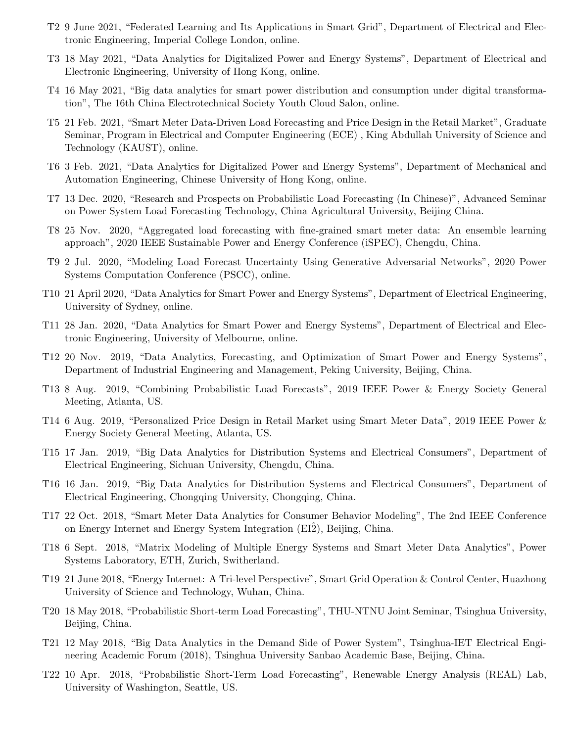- T2 9 June 2021, "Federated Learning and Its Applications in Smart Grid", Department of Electrical and Electronic Engineering, Imperial College London, online.
- T3 18 May 2021, "Data Analytics for Digitalized Power and Energy Systems", Department of Electrical and Electronic Engineering, University of Hong Kong, online.
- T4 16 May 2021, "Big data analytics for smart power distribution and consumption under digital transformation", The 16th China Electrotechnical Society Youth Cloud Salon, online.
- T5 21 Feb. 2021, "Smart Meter Data-Driven Load Forecasting and Price Design in the Retail Market", Graduate Seminar, Program in Electrical and Computer Engineering (ECE) , King Abdullah University of Science and Technology (KAUST), online.
- T6 3 Feb. 2021, "Data Analytics for Digitalized Power and Energy Systems", Department of Mechanical and Automation Engineering, Chinese University of Hong Kong, online.
- T7 13 Dec. 2020, "Research and Prospects on Probabilistic Load Forecasting (In Chinese)", Advanced Seminar on Power System Load Forecasting Technology, China Agricultural University, Beijing China.
- T8 25 Nov. 2020, "Aggregated load forecasting with fine-grained smart meter data: An ensemble learning approach", 2020 IEEE Sustainable Power and Energy Conference (iSPEC), Chengdu, China.
- T9 2 Jul. 2020, "Modeling Load Forecast Uncertainty Using Generative Adversarial Networks", 2020 Power Systems Computation Conference (PSCC), online.
- T10 21 April 2020, "Data Analytics for Smart Power and Energy Systems", Department of Electrical Engineering, University of Sydney, online.
- T11 28 Jan. 2020, "Data Analytics for Smart Power and Energy Systems", Department of Electrical and Electronic Engineering, University of Melbourne, online.
- T12 20 Nov. 2019, "Data Analytics, Forecasting, and Optimization of Smart Power and Energy Systems", Department of Industrial Engineering and Management, Peking University, Beijing, China.
- T13 8 Aug. 2019, "Combining Probabilistic Load Forecasts", 2019 IEEE Power & Energy Society General Meeting, Atlanta, US.
- T14 6 Aug. 2019, "Personalized Price Design in Retail Market using Smart Meter Data", 2019 IEEE Power & Energy Society General Meeting, Atlanta, US.
- T15 17 Jan. 2019, "Big Data Analytics for Distribution Systems and Electrical Consumers", Department of Electrical Engineering, Sichuan University, Chengdu, China.
- T16 16 Jan. 2019, "Big Data Analytics for Distribution Systems and Electrical Consumers", Department of Electrical Engineering, Chongqing University, Chongqing, China.
- T17 22 Oct. 2018, "Smart Meter Data Analytics for Consumer Behavior Modeling", The 2nd IEEE Conference on Energy Internet and Energy System Integration (EI2), Beijing, China.
- T18 6 Sept. 2018, "Matrix Modeling of Multiple Energy Systems and Smart Meter Data Analytics", Power Systems Laboratory, ETH, Zurich, Switherland.
- T19 21 June 2018, "Energy Internet: A Tri-level Perspective", Smart Grid Operation & Control Center, Huazhong University of Science and Technology, Wuhan, China.
- T20 18 May 2018, "Probabilistic Short-term Load Forecasting", THU-NTNU Joint Seminar, Tsinghua University, Beijing, China.
- T21 12 May 2018, "Big Data Analytics in the Demand Side of Power System", Tsinghua-IET Electrical Engineering Academic Forum (2018), Tsinghua University Sanbao Academic Base, Beijing, China.
- T22 10 Apr. 2018, "Probabilistic Short-Term Load Forecasting", Renewable Energy Analysis (REAL) Lab, University of Washington, Seattle, US.